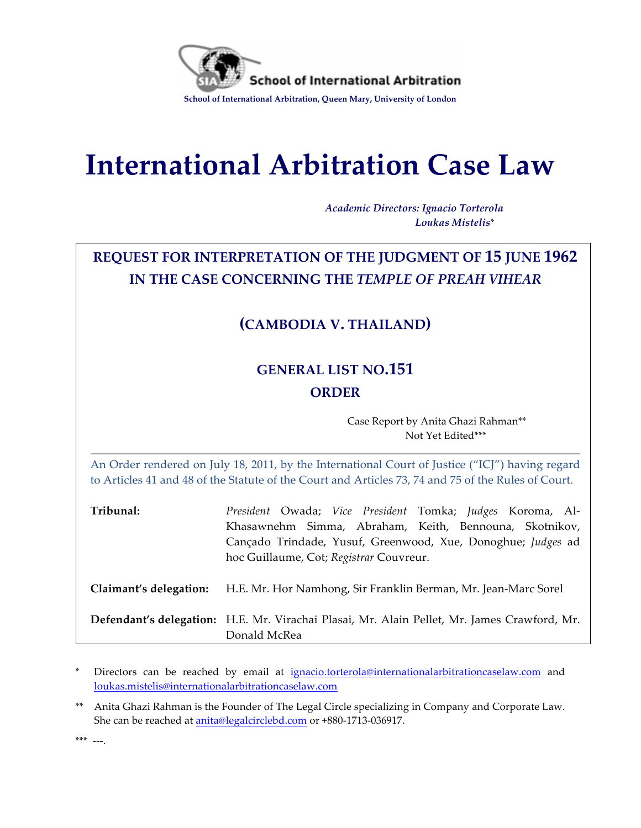

# **International Arbitration Case Law**

*Academic Directors: Ignacio Torterola Loukas Mistelis*\*

# **REQUEST FOR INTERPRETATION OF THE JUDGMENT OF 15 JUNE 1962 IN THE CASE CONCERNING THE** *TEMPLE OF PREAH VIHEAR*

# **(CAMBODIA V. THAILAND)**

# **GENERAL LIST NO.151 ORDER**

Case Report by Anita Ghazi Rahman\*\* Not Yet Edited\*\*\*

An Order rendered on July 18, 2011, by the International Court of Justice ("ICJ") having regard to Articles 41 and 48 of the Statute of the Court and Articles 73, 74 and 75 of the Rules of Court.

| President Owada; Vice President Tomka; Judges Koroma, Al-                                                   |
|-------------------------------------------------------------------------------------------------------------|
| Khasawnehm Simma, Abraham, Keith, Bennouna, Skotnikov,                                                      |
| Cançado Trindade, Yusuf, Greenwood, Xue, Donoghue; Judges ad                                                |
| hoc Guillaume, Cot; Registrar Couvreur.                                                                     |
| H.E. Mr. Hor Namhong, Sir Franklin Berman, Mr. Jean-Marc Sorel                                              |
| Defendant's delegation: H.E. Mr. Virachai Plasai, Mr. Alain Pellet, Mr. James Crawford, Mr.<br>Donald McRea |
|                                                                                                             |

Directors can be reached by email at ignacio.torterola@internationalarbitrationcaselaw.com and loukas.mistelis@internationalarbitrationcaselaw.com

\*\* Anita Ghazi Rahman is the Founder of The Legal Circle specializing in Company and Corporate Law. She can be reached at anita@legalcirclebd.com or +880-1713-036917.

 $***$   $---$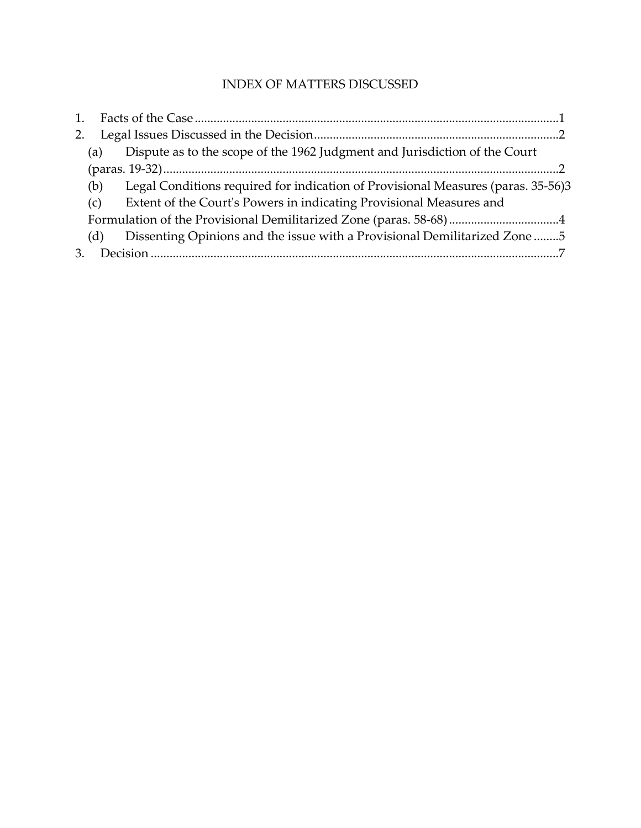## INDEX OF MATTERS DISCUSSED

| 1. |     |                                                                                  |  |
|----|-----|----------------------------------------------------------------------------------|--|
| 2. |     |                                                                                  |  |
|    | (a) | Dispute as to the scope of the 1962 Judgment and Jurisdiction of the Court       |  |
|    |     |                                                                                  |  |
|    | (b) | Legal Conditions required for indication of Provisional Measures (paras. 35-56)3 |  |
|    | (c) | Extent of the Court's Powers in indicating Provisional Measures and              |  |
|    |     |                                                                                  |  |
|    | (d) | Dissenting Opinions and the issue with a Provisional Demilitarized Zone 5        |  |
|    |     |                                                                                  |  |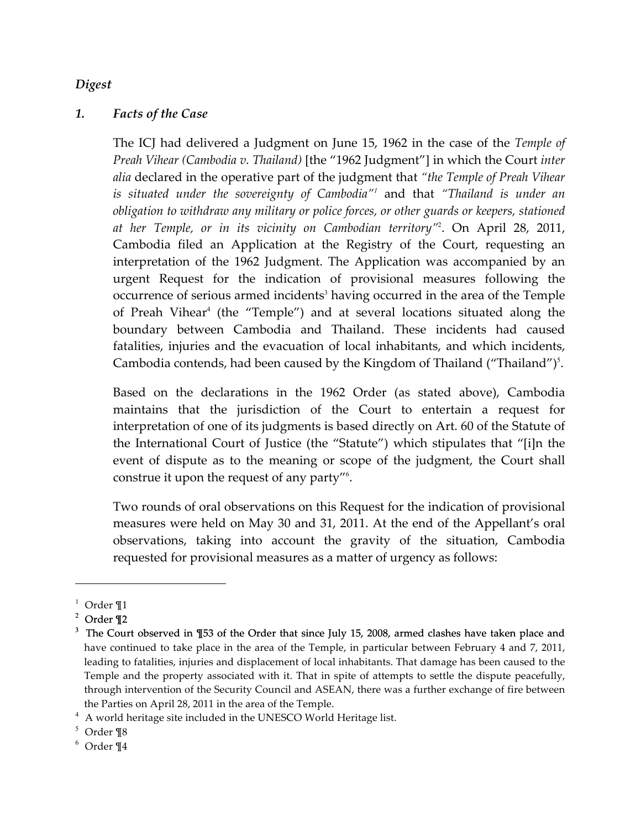#### *Digest*

#### *1. Facts of the Case*

The ICJ had delivered a Judgment on June 15, 1962 in the case of the *Temple of Preah Vihear (Cambodia v. Thailand)* [the "1962 Judgment"] in which the Court *inter alia* declared in the operative part of the judgment that *"the Temple of Preah Vihear is situated under the sovereignty of Cambodia"<sup>1</sup>* and that *"Thailand is under an obligation to withdraw any military or police forces, or other guards or keepers, stationed at her Temple, or in its vicinity on Cambodian territory"*<sup>2</sup> . On April 28, 2011, Cambodia filed an Application at the Registry of the Court, requesting an interpretation of the 1962 Judgment. The Application was accompanied by an urgent Request for the indication of provisional measures following the occurrence of serious armed incidents<sup>3</sup> having occurred in the area of the Temple of Preah Vihear<sup>4</sup> (the "Temple") and at several locations situated along the boundary between Cambodia and Thailand. These incidents had caused fatalities, injuries and the evacuation of local inhabitants, and which incidents, Cambodia contends, had been caused by the Kingdom of Thailand ("Thailand")<sup>5</sup>.

Based on the declarations in the 1962 Order (as stated above), Cambodia maintains that the jurisdiction of the Court to entertain a request for interpretation of one of its judgments is based directly on Art. 60 of the Statute of the International Court of Justice (the "Statute") which stipulates that "[i]n the event of dispute as to the meaning or scope of the judgment, the Court shall construe it upon the request of any party"<sup>6</sup> .

Two rounds of oral observations on this Request for the indication of provisional measures were held on May 30 and 31, 2011. At the end of the Appellant's oral observations, taking into account the gravity of the situation, Cambodia requested for provisional measures as a matter of urgency as follows:

i

 $1$  Order  $\P1$ 

<sup>2</sup> Order ¶2

<sup>&</sup>lt;sup>3</sup> The Court observed in ¶53 of the Order that since July 15, 2008, armed clashes have taken place and have continued to take place in the area of the Temple, in particular between February 4 and 7, 2011, leading to fatalities, injuries and displacement of local inhabitants. That damage has been caused to the Temple and the property associated with it. That in spite of attempts to settle the dispute peacefully, through intervention of the Security Council and ASEAN, there was a further exchange of fire between the Parties on April 28, 2011 in the area of the Temple.

 $^4\,$  A world heritage site included in the UNESCO World Heritage list.

<sup>5</sup> Order ¶8

 $6$  Order ¶4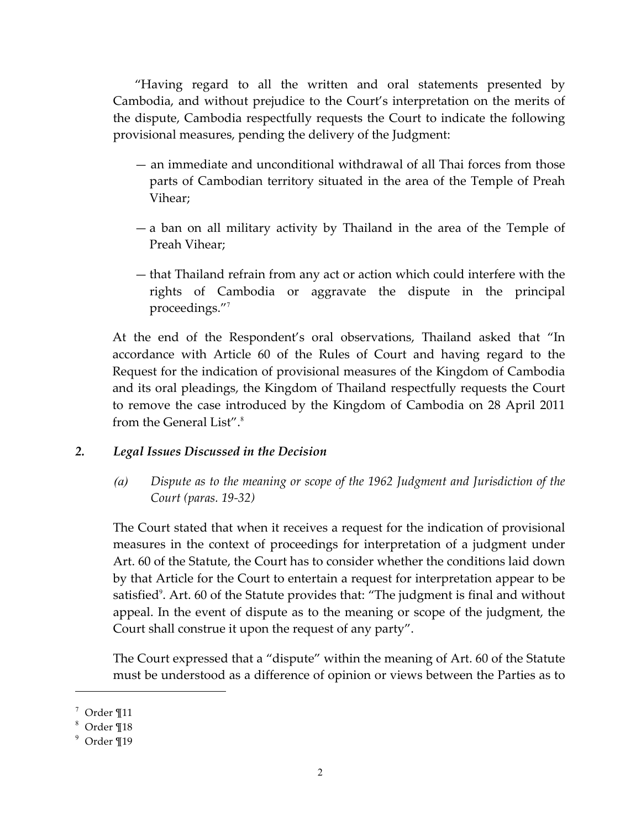"Having regard to all the written and oral statements presented by Cambodia, and without prejudice to the Court's interpretation on the merits of the dispute, Cambodia respectfully requests the Court to indicate the following provisional measures, pending the delivery of the Judgment:

- an immediate and unconditional withdrawal of all Thai forces from those parts of Cambodian territory situated in the area of the Temple of Preah Vihear;
- a ban on all military activity by Thailand in the area of the Temple of Preah Vihear;
- that Thailand refrain from any act or action which could interfere with the rights of Cambodia or aggravate the dispute in the principal proceedings."<sup>7</sup>

At the end of the Respondent's oral observations, Thailand asked that "In accordance with Article 60 of the Rules of Court and having regard to the Request for the indication of provisional measures of the Kingdom of Cambodia and its oral pleadings, the Kingdom of Thailand respectfully requests the Court to remove the case introduced by the Kingdom of Cambodia on 28 April 2011 from the General List".<sup>8</sup>

#### *2. Legal Issues Discussed in the Decision*

*(a) Dispute as to the meaning or scope of the 1962 Judgment and Jurisdiction of the Court (paras. 19-32)*

The Court stated that when it receives a request for the indication of provisional measures in the context of proceedings for interpretation of a judgment under Art. 60 of the Statute, the Court has to consider whether the conditions laid down by that Article for the Court to entertain a request for interpretation appear to be satisfied<sup>9</sup>. Art. 60 of the Statute provides that: "The judgment is final and without appeal. In the event of dispute as to the meaning or scope of the judgment, the Court shall construe it upon the request of any party".

The Court expressed that a "dispute" within the meaning of Art. 60 of the Statute must be understood as a difference of opinion or views between the Parties as to

i<br>Li

 $^7$  Order ¶11

<sup>8</sup> Order ¶18

 $9$  Order ¶19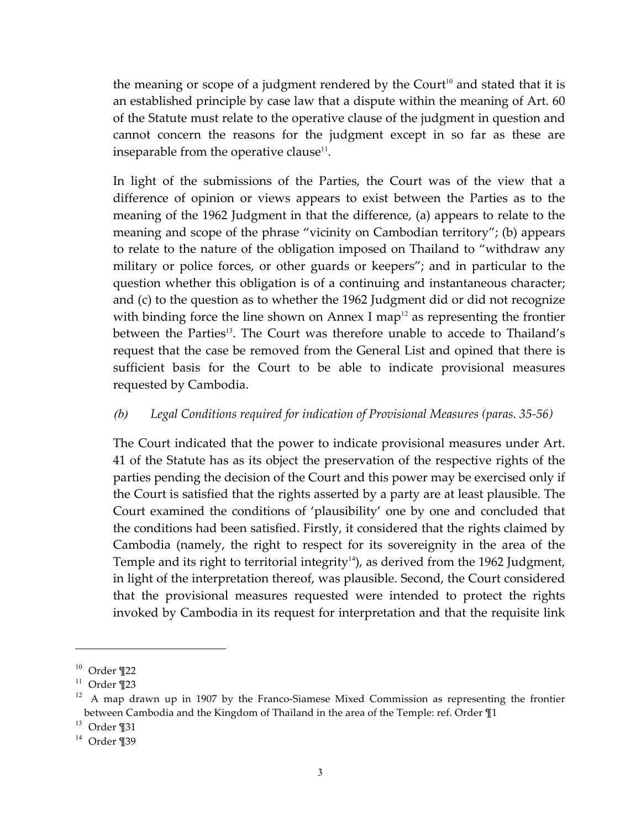the meaning or scope of a judgment rendered by the Court<sup>10</sup> and stated that it is an established principle by case law that a dispute within the meaning of Art. 60 of the Statute must relate to the operative clause of the judgment in question and cannot concern the reasons for the judgment except in so far as these are inseparable from the operative clause<sup>11</sup>.

In light of the submissions of the Parties, the Court was of the view that a difference of opinion or views appears to exist between the Parties as to the meaning of the 1962 Judgment in that the difference, (a) appears to relate to the meaning and scope of the phrase "vicinity on Cambodian territory"; (b) appears to relate to the nature of the obligation imposed on Thailand to "withdraw any military or police forces, or other guards or keepers"; and in particular to the question whether this obligation is of a continuing and instantaneous character; and (c) to the question as to whether the 1962 Judgment did or did not recognize with binding force the line shown on Annex I map<sup>12</sup> as representing the frontier between the Parties<sup>13</sup>. The Court was therefore unable to accede to Thailand's request that the case be removed from the General List and opined that there is sufficient basis for the Court to be able to indicate provisional measures requested by Cambodia.

## *(b) Legal Conditions required for indication of Provisional Measures (paras. 35-56)*

The Court indicated that the power to indicate provisional measures under Art. 41 of the Statute has as its object the preservation of the respective rights of the parties pending the decision of the Court and this power may be exercised only if the Court is satisfied that the rights asserted by a party are at least plausible. The Court examined the conditions of 'plausibility' one by one and concluded that the conditions had been satisfied. Firstly, it considered that the rights claimed by Cambodia (namely, the right to respect for its sovereignity in the area of the Temple and its right to territorial integrity $\frac{1}{4}$ , as derived from the 1962 Judgment, in light of the interpretation thereof, was plausible. Second, the Court considered that the provisional measures requested were intended to protect the rights invoked by Cambodia in its request for interpretation and that the requisite link

i

 $10$  Order  $\P$ 22

 $11$  Order  $\P$ 23

 $12$  A map drawn up in 1907 by the Franco-Siamese Mixed Commission as representing the frontier between Cambodia and the Kingdom of Thailand in the area of the Temple: ref. Order ¶1

<sup>13</sup> Order ¶31

 $14$  Order ¶39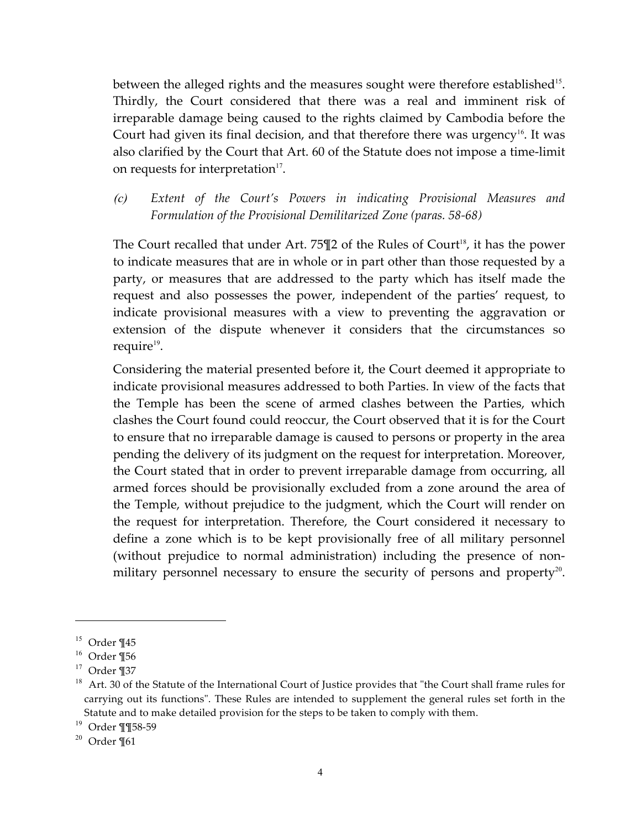between the alleged rights and the measures sought were therefore established<sup>15</sup>. Thirdly, the Court considered that there was a real and imminent risk of irreparable damage being caused to the rights claimed by Cambodia before the Court had given its final decision, and that therefore there was urgency<sup>16</sup>. It was also clarified by the Court that Art. 60 of the Statute does not impose a time-limit on requests for interpretation $17$ .

*(c) Extent of the Court's Powers in indicating Provisional Measures and Formulation of the Provisional Demilitarized Zone (paras. 58-68)*

The Court recalled that under Art. 75 $\P2$  of the Rules of Court<sup>18</sup>, it has the power to indicate measures that are in whole or in part other than those requested by a party, or measures that are addressed to the party which has itself made the request and also possesses the power, independent of the parties' request, to indicate provisional measures with a view to preventing the aggravation or extension of the dispute whenever it considers that the circumstances so require $19$ .

Considering the material presented before it, the Court deemed it appropriate to indicate provisional measures addressed to both Parties. In view of the facts that the Temple has been the scene of armed clashes between the Parties, which clashes the Court found could reoccur, the Court observed that it is for the Court to ensure that no irreparable damage is caused to persons or property in the area pending the delivery of its judgment on the request for interpretation. Moreover, the Court stated that in order to prevent irreparable damage from occurring, all armed forces should be provisionally excluded from a zone around the area of the Temple, without prejudice to the judgment, which the Court will render on the request for interpretation. Therefore, the Court considered it necessary to define a zone which is to be kept provisionally free of all military personnel (without prejudice to normal administration) including the presence of nonmilitary personnel necessary to ensure the security of persons and property<sup>20</sup>.

i<br>Li

 $15$  Order ¶45

 $16$  Order ¶56

<sup>17</sup> Order ¶37

<sup>&</sup>lt;sup>18</sup> Art. 30 of the Statute of the International Court of Justice provides that "the Court shall frame rules for carrying out its functions". These Rules are intended to supplement the general rules set forth in the Statute and to make detailed provision for the steps to be taken to comply with them.

<sup>19</sup> Order ¶¶58-59

 $20$  Order ¶61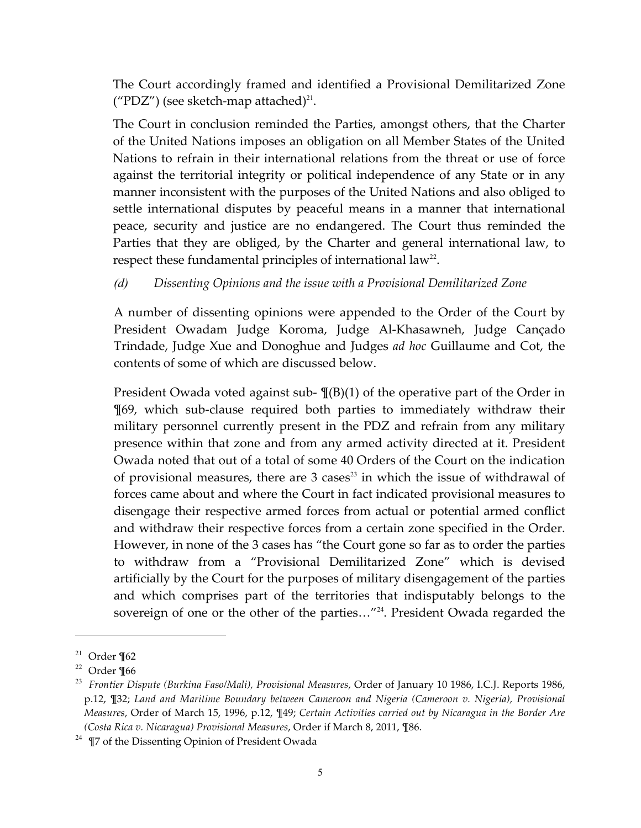The Court accordingly framed and identified a Provisional Demilitarized Zone ("PDZ") (see sketch-map attached)<sup>21</sup>.

The Court in conclusion reminded the Parties, amongst others, that the Charter of the United Nations imposes an obligation on all Member States of the United Nations to refrain in their international relations from the threat or use of force against the territorial integrity or political independence of any State or in any manner inconsistent with the purposes of the United Nations and also obliged to settle international disputes by peaceful means in a manner that international peace, security and justice are no endangered. The Court thus reminded the Parties that they are obliged, by the Charter and general international law, to respect these fundamental principles of international law<sup>22</sup>.

## *(d) Dissenting Opinions and the issue with a Provisional Demilitarized Zone*

A number of dissenting opinions were appended to the Order of the Court by President Owadam Judge Koroma, Judge Al-Khasawneh, Judge Cançado Trindade, Judge Xue and Donoghue and Judges *ad hoc* Guillaume and Cot, the contents of some of which are discussed below.

President Owada voted against sub- ¶(B)(1) of the operative part of the Order in ¶69, which sub-clause required both parties to immediately withdraw their military personnel currently present in the PDZ and refrain from any military presence within that zone and from any armed activity directed at it. President Owada noted that out of a total of some 40 Orders of the Court on the indication of provisional measures, there are  $3 \text{ cases}^{23}$  in which the issue of withdrawal of forces came about and where the Court in fact indicated provisional measures to disengage their respective armed forces from actual or potential armed conflict and withdraw their respective forces from a certain zone specified in the Order. However, in none of the 3 cases has "the Court gone so far as to order the parties to withdraw from a "Provisional Demilitarized Zone" which is devised artificially by the Court for the purposes of military disengagement of the parties and which comprises part of the territories that indisputably belongs to the sovereign of one or the other of the parties..."<sup>24</sup>. President Owada regarded the

i

 $21$  Order ¶62

 $22$  Order ¶66

<sup>&</sup>lt;sup>23</sup> *Frontier Dispute (Burkina Faso/Mali), Provisional Measures, Order of January 10 1986, I.C.J. Reports 1986,* p.12, ¶32; *Land and Maritime Boundary between Cameroon and Nigeria (Cameroon v. Nigeria), Provisional Measures*, Order of March 15, 1996, p.12, ¶49; *Certain Activities carried out by Nicaragua in the Border Are (Costa Rica v. Nicaragua) Provisional Measures*, Order if March 8, 2011, ¶86.

<sup>&</sup>lt;sup>24</sup> ¶7 of the Dissenting Opinion of President Owada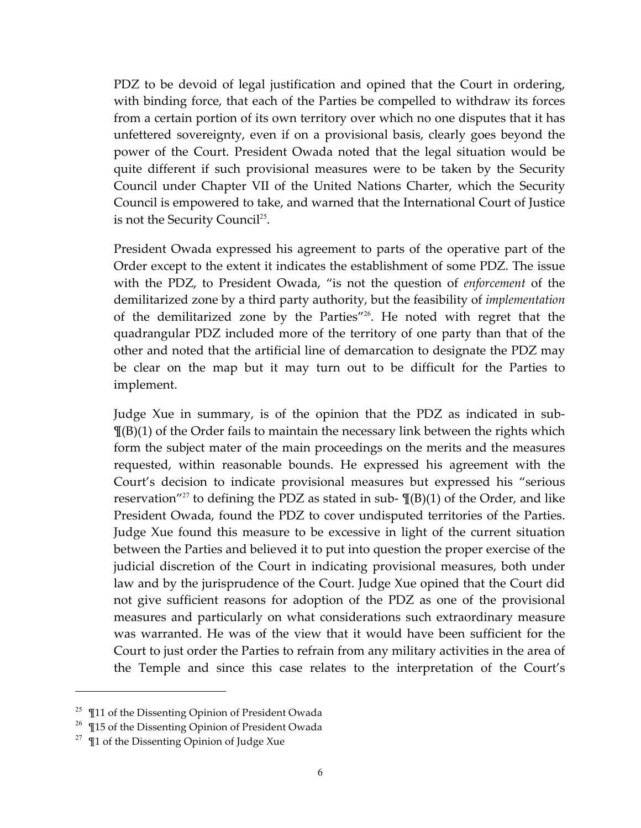PDZ to be devoid of legal justification and opined that the Court in ordering, with binding force, that each of the Parties be compelled to withdraw its forces from a certain portion of its own territory over which no one disputes that it has unfettered sovereignty, even if on a provisional basis, clearly goes beyond the power of the Court. President Owada noted that the legal situation would be quite different if such provisional measures were to be taken by the Security Council under Chapter VII of the United Nations Charter, which the Security Council is empowered to take, and warned that the International Court of Justice is not the Security Council<sup>25</sup>.

President Owada expressed his agreement to parts of the operative part of the Order except to the extent it indicates the establishment of some PDZ. The issue with the PDZ, to President Owada, "is not the question of *enforcement* of the demilitarized zone by a third party authority, but the feasibility of *implementation* of the demilitarized zone by the Parties"<sup>26</sup>. He noted with regret that the quadrangular PDZ included more of the territory of one party than that of the other and noted that the artificial line of demarcation to designate the PDZ may be clear on the map but it may turn out to be difficult for the Parties to implement.

Judge Xue in summary, is of the opinion that the PDZ as indicated in sub-  $\P(B)(1)$  of the Order fails to maintain the necessary link between the rights which form the subject mater of the main proceedings on the merits and the measures requested, within reasonable bounds. He expressed his agreement with the Court's decision to indicate provisional measures but expressed his "serious reservation"<sup>27</sup> to defining the PDZ as stated in sub-  $\P(\text{B})(1)$  of the Order, and like President Owada, found the PDZ to cover undisputed territories of the Parties. Judge Xue found this measure to be excessive in light of the current situation between the Parties and believed it to put into question the proper exercise of the judicial discretion of the Court in indicating provisional measures, both under law and by the jurisprudence of the Court. Judge Xue opined that the Court did not give sufficient reasons for adoption of the PDZ as one of the provisional measures and particularly on what considerations such extraordinary measure was warranted. He was of the view that it would have been sufficient for the Court to just order the Parties to refrain from any military activities in the area of the Temple and since this case relates to the interpretation of the Court's

i<br>Li

<sup>&</sup>lt;sup>25</sup> Il1 of the Dissenting Opinion of President Owada

 $26$   $\P$ 15 of the Dissenting Opinion of President Owada

 $27 \text{ }$  T1 of the Dissenting Opinion of Judge Xue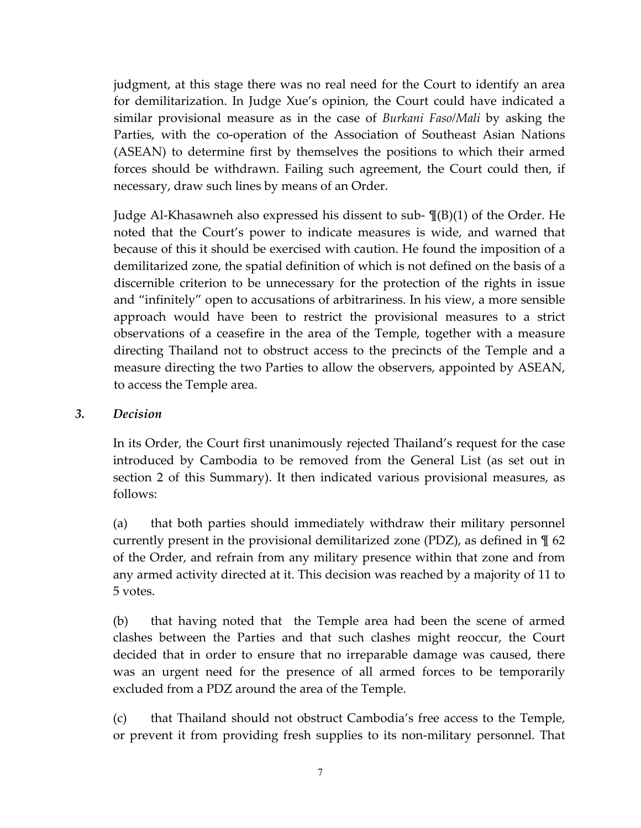judgment, at this stage there was no real need for the Court to identify an area for demilitarization. In Judge Xue's opinion, the Court could have indicated a similar provisional measure as in the case of *Burkani Faso/Mali* by asking the Parties, with the co-operation of the Association of Southeast Asian Nations (ASEAN) to determine first by themselves the positions to which their armed forces should be withdrawn. Failing such agreement, the Court could then, if necessary, draw such lines by means of an Order.

Judge Al-Khasawneh also expressed his dissent to sub- ¶(B)(1) of the Order. He noted that the Court's power to indicate measures is wide, and warned that because of this it should be exercised with caution. He found the imposition of a demilitarized zone, the spatial definition of which is not defined on the basis of a discernible criterion to be unnecessary for the protection of the rights in issue and "infinitely" open to accusations of arbitrariness. In his view, a more sensible approach would have been to restrict the provisional measures to a strict observations of a ceasefire in the area of the Temple, together with a measure directing Thailand not to obstruct access to the precincts of the Temple and a measure directing the two Parties to allow the observers, appointed by ASEAN, to access the Temple area.

## *3. Decision*

In its Order, the Court first unanimously rejected Thailand's request for the case introduced by Cambodia to be removed from the General List (as set out in section 2 of this Summary). It then indicated various provisional measures, as follows:

(a) that both parties should immediately withdraw their military personnel currently present in the provisional demilitarized zone (PDZ), as defined in ¶ 62 of the Order, and refrain from any military presence within that zone and from any armed activity directed at it. This decision was reached by a majority of 11 to 5 votes.

(b) that having noted that the Temple area had been the scene of armed clashes between the Parties and that such clashes might reoccur, the Court decided that in order to ensure that no irreparable damage was caused, there was an urgent need for the presence of all armed forces to be temporarily excluded from a PDZ around the area of the Temple.

(c) that Thailand should not obstruct Cambodia's free access to the Temple, or prevent it from providing fresh supplies to its non-military personnel. That